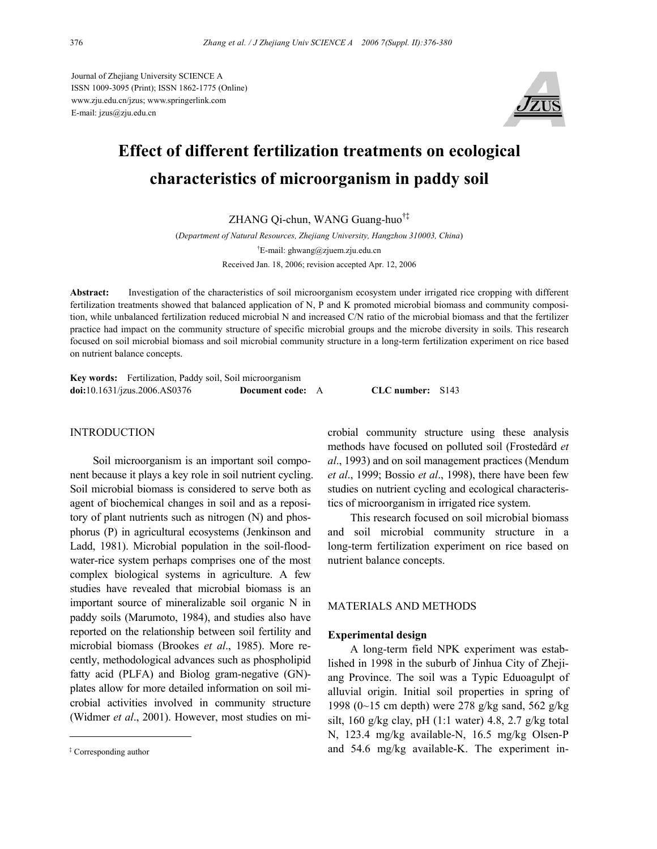Journal of Zhejiang University SCIENCE A ISSN 1009-3095 (Print); ISSN 1862-1775 (Online) www.zju.edu.cn/jzus; www.springerlink.com E-mail: jzus@zju.edu.cn



# **Effect of different fertilization treatments on ecological characteristics of microorganism in paddy soil**

ZHANG Qi-chun, WANG Guang-huo†‡

(*Department of Natural Resources, Zhejiang University, Hangzhou 310003, China*) † E-mail: ghwang@zjuem.zju.edu.cn Received Jan. 18, 2006; revision accepted Apr. 12, 2006

**Abstract:** Investigation of the characteristics of soil microorganism ecosystem under irrigated rice cropping with different fertilization treatments showed that balanced application of N, P and K promoted microbial biomass and community composition, while unbalanced fertilization reduced microbial N and increased C/N ratio of the microbial biomass and that the fertilizer practice had impact on the community structure of specific microbial groups and the microbe diversity in soils. This research focused on soil microbial biomass and soil microbial community structure in a long-term fertilization experiment on rice based on nutrient balance concepts.

|                                                                  | Key words: Fertilization, Paddy soil, Soil microorganism |                  |  |
|------------------------------------------------------------------|----------------------------------------------------------|------------------|--|
| $\text{doi: } 10.1631 / \text{jzus}.2006 \text{.} \text{AS}0376$ | <b>Document code:</b> A                                  | CLC number: S143 |  |

# **INTRODUCTION**

Soil microorganism is an important soil component because it plays a key role in soil nutrient cycling. Soil microbial biomass is considered to serve both as agent of biochemical changes in soil and as a repository of plant nutrients such as nitrogen (N) and phosphorus (P) in agricultural ecosystems (Jenkinson and Ladd, 1981). Microbial population in the soil-floodwater-rice system perhaps comprises one of the most complex biological systems in agriculture. A few studies have revealed that microbial biomass is an important source of mineralizable soil organic N in paddy soils (Marumoto, 1984), and studies also have reported on the relationship between soil fertility and microbial biomass (Brookes *et al*., 1985). More recently, methodological advances such as phospholipid fatty acid (PLFA) and Biolog gram-negative (GN) plates allow for more detailed information on soil microbial activities involved in community structure (Widmer *et al*., 2001). However, most studies on microbial community structure using these analysis methods have focused on polluted soil (Frostedård *et al*., 1993) and on soil management practices (Mendum *et al*., 1999; Bossio *et al*., 1998), there have been few studies on nutrient cycling and ecological characteristics of microorganism in irrigated rice system.

This research focused on soil microbial biomass and soil microbial community structure in a long-term fertilization experiment on rice based on nutrient balance concepts.

# MATERIALS AND METHODS

### **Experimental design**

A long-term field NPK experiment was established in 1998 in the suburb of Jinhua City of Zhejiang Province. The soil was a Typic Eduoagulpt of alluvial origin. Initial soil properties in spring of 1998 (0~15 cm depth) were 278 g/kg sand, 562 g/kg silt, 160 g/kg clay, pH  $(1:1$  water) 4.8, 2.7 g/kg total N, 123.4 mg/kg available-N, 16.5 mg/kg Olsen-P <sup>‡</sup> Corresponding author and 54.6 mg/kg available-K. The experiment in-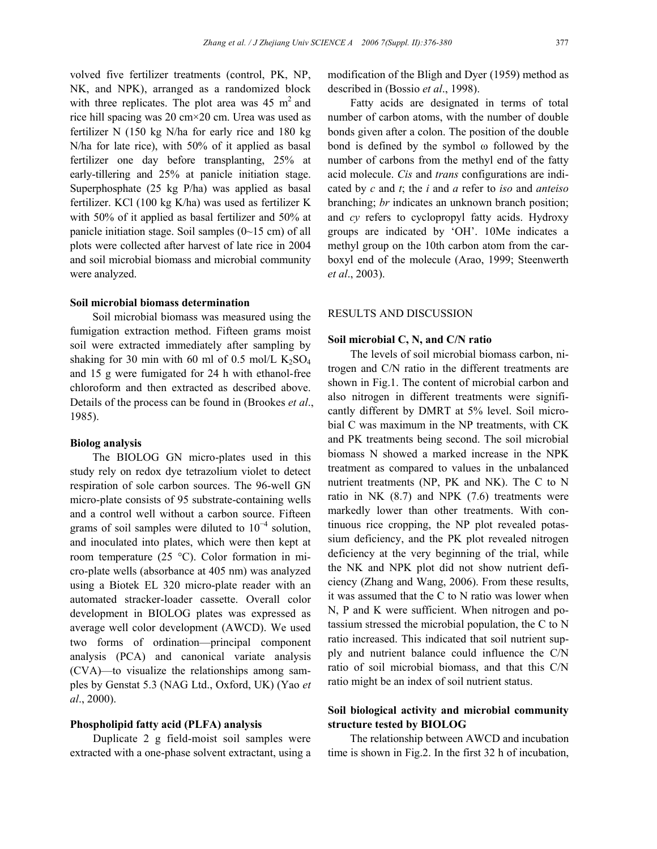volved five fertilizer treatments (control, PK, NP, NK, and NPK), arranged as a randomized block with three replicates. The plot area was  $45 \text{ m}^2$  and rice hill spacing was 20 cm×20 cm. Urea was used as fertilizer N (150 kg N/ha for early rice and 180 kg N/ha for late rice), with 50% of it applied as basal fertilizer one day before transplanting, 25% at early-tillering and 25% at panicle initiation stage. Superphosphate (25 kg P/ha) was applied as basal fertilizer. KCl (100 kg K/ha) was used as fertilizer K with 50% of it applied as basal fertilizer and 50% at panicle initiation stage. Soil samples (0~15 cm) of all plots were collected after harvest of late rice in 2004 and soil microbial biomass and microbial community were analyzed.

#### **Soil microbial biomass determination**

Soil microbial biomass was measured using the fumigation extraction method. Fifteen grams moist soil were extracted immediately after sampling by shaking for 30 min with 60 ml of 0.5 mol/L  $K_2SO_4$ and 15 g were fumigated for 24 h with ethanol-free chloroform and then extracted as described above. Details of the process can be found in (Brookes *et al*., 1985).

## **Biolog analysis**

The BIOLOG GN micro-plates used in this study rely on redox dye tetrazolium violet to detect respiration of sole carbon sources. The 96-well GN micro-plate consists of 95 substrate-containing wells and a control well without a carbon source. Fifteen grams of soil samples were diluted to  $10^{-4}$  solution, and inoculated into plates, which were then kept at room temperature (25 °C). Color formation in micro-plate wells (absorbance at 405 nm) was analyzed using a Biotek EL 320 micro-plate reader with an automated stracker-loader cassette. Overall color development in BIOLOG plates was expressed as average well color development (AWCD). We used two forms of ordination—principal component analysis (PCA) and canonical variate analysis (CVA)—to visualize the relationships among samples by Genstat 5.3 (NAG Ltd., Oxford, UK) (Yao *et al*., 2000).

# **Phospholipid fatty acid (PLFA) analysis**

Duplicate 2 g field-moist soil samples were extracted with a one-phase solvent extractant, using a

modification of the Bligh and Dyer (1959) method as described in (Bossio *et al*., 1998).

Fatty acids are designated in terms of total number of carbon atoms, with the number of double bonds given after a colon. The position of the double bond is defined by the symbol ω followed by the number of carbons from the methyl end of the fatty acid molecule. *Cis* and *trans* configurations are indicated by *c* and *t*; the *i* and *a* refer to *iso* and *anteiso* branching; *br* indicates an unknown branch position; and *cy* refers to cyclopropyl fatty acids. Hydroxy groups are indicated by 'OH'. 10Me indicates a methyl group on the 10th carbon atom from the carboxyl end of the molecule (Arao, 1999; Steenwerth *et al*., 2003).

# RESULTS AND DISCUSSION

## **Soil microbial C, N, and C/N ratio**

The levels of soil microbial biomass carbon, nitrogen and C/N ratio in the different treatments are shown in Fig.1. The content of microbial carbon and also nitrogen in different treatments were significantly different by DMRT at 5% level. Soil microbial C was maximum in the NP treatments, with CK and PK treatments being second. The soil microbial biomass N showed a marked increase in the NPK treatment as compared to values in the unbalanced nutrient treatments (NP, PK and NK). The C to N ratio in NK (8.7) and NPK (7.6) treatments were markedly lower than other treatments. With continuous rice cropping, the NP plot revealed potassium deficiency, and the PK plot revealed nitrogen deficiency at the very beginning of the trial, while the NK and NPK plot did not show nutrient deficiency (Zhang and Wang, 2006). From these results, it was assumed that the C to N ratio was lower when N, P and K were sufficient. When nitrogen and potassium stressed the microbial population, the C to N ratio increased. This indicated that soil nutrient supply and nutrient balance could influence the C/N ratio of soil microbial biomass, and that this C/N ratio might be an index of soil nutrient status.

# **Soil biological activity and microbial community structure tested by BIOLOG**

The relationship between AWCD and incubation time is shown in Fig.2. In the first 32 h of incubation,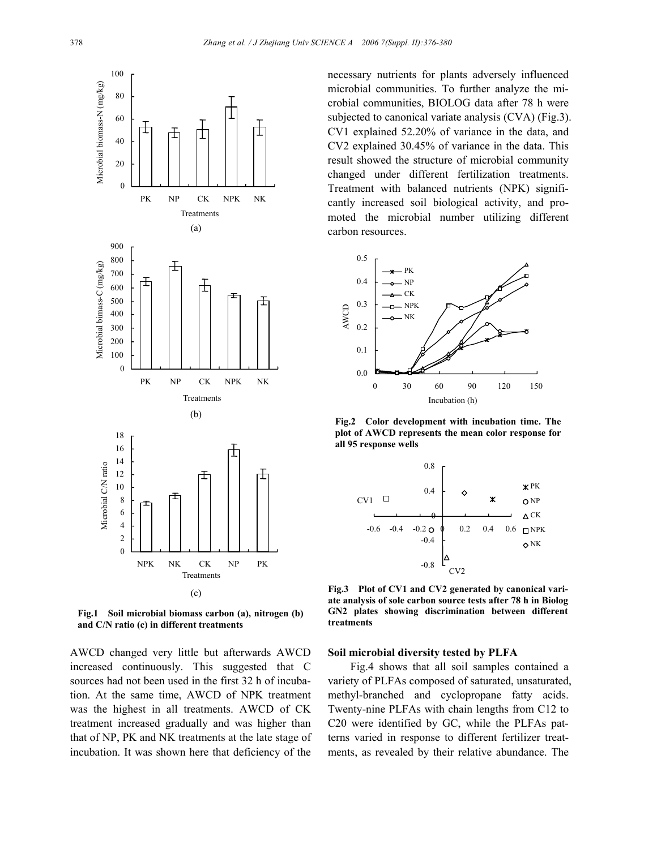

**Fig.1 Soil microbial biomass carbon (a), nitrogen (b) and C/N ratio (c) in different treatments**

AWCD changed very little but afterwards AWCD increased continuously. This suggested that C sources had not been used in the first 32 h of incubation. At the same time, AWCD of NPK treatment was the highest in all treatments. AWCD of CK treatment increased gradually and was higher than that of NP, PK and NK treatments at the late stage of incubation. It was shown here that deficiency of the

necessary nutrients for plants adversely influenced microbial communities. To further analyze the microbial communities, BIOLOG data after 78 h were subjected to canonical variate analysis (CVA) (Fig.3). CV1 explained 52.20% of variance in the data, and CV2 explained 30.45% of variance in the data. This result showed the structure of microbial community changed under different fertilization treatments. Treatment with balanced nutrients (NPK) significantly increased soil biological activity, and promoted the microbial number utilizing different carbon resources.



**Fig.2 Color development with incubation time. The plot of AWCD represents the mean color response for all 95 response wells** 



**Fig.3 Plot of CV1 and CV2 generated by canonical variate analysis of sole carbon source tests after 78 h in Biolog GN2 plates showing discrimination between different treatments** 

#### **Soil microbial diversity tested by PLFA**

Fig.4 shows that all soil samples contained a variety of PLFAs composed of saturated, unsaturated, methyl-branched and cyclopropane fatty acids. Twenty-nine PLFAs with chain lengths from C12 to C20 were identified by GC, while the PLFAs patterns varied in response to different fertilizer treatments, as revealed by their relative abundance. The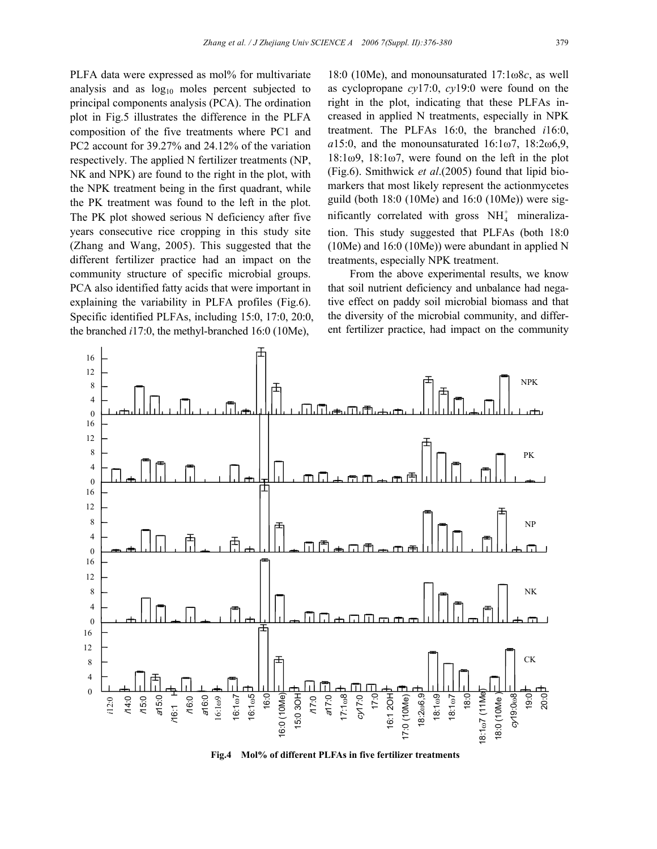PLFA data were expressed as mol% for multivariate analysis and as  $log_{10}$  moles percent subjected to principal components analysis (PCA). The ordination plot in Fig.5 illustrates the difference in the PLFA composition of the five treatments where PC1 and PC2 account for 39.27% and 24.12% of the variation respectively. The applied N fertilizer treatments (NP, NK and NPK) are found to the right in the plot, with the NPK treatment being in the first quadrant, while the PK treatment was found to the left in the plot. The PK plot showed serious N deficiency after five years consecutive rice cropping in this study site (Zhang and Wang, 2005). This suggested that the different fertilizer practice had an impact on the community structure of specific microbial groups. PCA also identified fatty acids that were important in explaining the variability in PLFA profiles (Fig.6). Specific identified PLFAs, including 15:0, 17:0, 20:0, the branched *i*17:0, the methyl-branched 16:0 (10Me),

18:0 (10Me), and monounsaturated 17:1ω8*c*, as well as cyclopropane *cy*17:0, *cy*19:0 were found on the right in the plot, indicating that these PLFAs increased in applied N treatments, especially in NPK treatment. The PLFAs 16:0, the branched *i*16:0, *a*15:0, and the monounsaturated 16:1ω7, 18:2ω6,9,  $18:1\omega$ 9,  $18:1\omega$ 7, were found on the left in the plot (Fig.6). Smithwick *et al*.(2005) found that lipid biomarkers that most likely represent the actionmycetes guild (both 18:0 (10Me) and 16:0 (10Me)) were significantly correlated with gross  $NH<sub>4</sub><sup>+</sup>$  mineralization. This study suggested that PLFAs (both 18:0 (10Me) and 16:0 (10Me)) were abundant in applied N treatments, especially NPK treatment.

From the above experimental results, we know that soil nutrient deficiency and unbalance had negative effect on paddy soil microbial biomass and that the diversity of the microbial community, and different fertilizer practice, had impact on the community



**Fig.4 Mol% of different PLFAs in five fertilizer treatments**